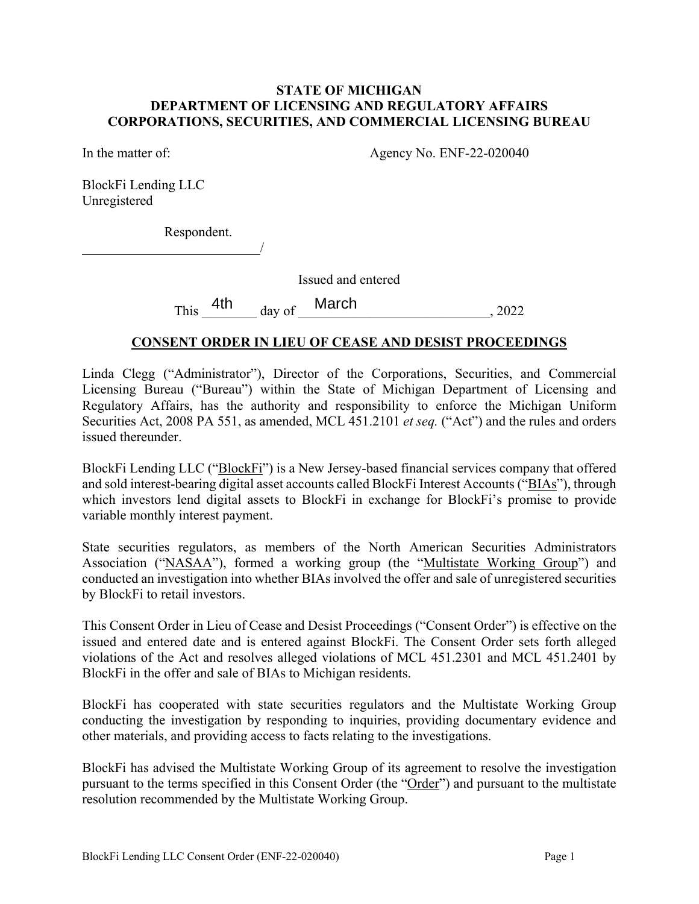#### **STATE OF MICHIGAN DEPARTMENT OF LICENSING AND REGULATORY AFFAIRS CORPORATIONS, SECURITIES, AND COMMERCIAL LICENSING BUREAU**

In the matter of: Agency No. ENF-22-020040

BlockFi Lending LLC Unregistered

Respondent.

 $\overline{\phantom{a}}$ 

Issued and entered

This  $4th$  day of March , 2022

### **CONSENT ORDER IN LIEU OF CEASE AND DESIST PROCEEDINGS**

Linda Clegg ("Administrator"), Director of the Corporations, Securities, and Commercial Licensing Bureau ("Bureau") within the State of Michigan Department of Licensing and Regulatory Affairs, has the authority and responsibility to enforce the Michigan Uniform Securities Act, 2008 PA 551, as amended, MCL 451.2101 *et seq.* ("Act") and the rules and orders issued thereunder.

BlockFi Lending LLC ("BlockFi") is a New Jersey-based financial services company that offered and sold interest-bearing digital asset accounts called BlockFi Interest Accounts ("BIAs"), through which investors lend digital assets to BlockFi in exchange for BlockFi's promise to provide variable monthly interest payment.

State securities regulators, as members of the North American Securities Administrators Association ("NASAA"), formed a working group (the "Multistate Working Group") and conducted an investigation into whether BIAs involved the offer and sale of unregistered securities by BlockFi to retail investors.

This Consent Order in Lieu of Cease and Desist Proceedings ("Consent Order") is effective on the issued and entered date and is entered against BlockFi. The Consent Order sets forth alleged violations of the Act and resolves alleged violations of MCL 451.2301 and MCL 451.2401 by BlockFi in the offer and sale of BIAs to Michigan residents.

BlockFi has cooperated with state securities regulators and the Multistate Working Group conducting the investigation by responding to inquiries, providing documentary evidence and other materials, and providing access to facts relating to the investigations.

BlockFi has advised the Multistate Working Group of its agreement to resolve the investigation pursuant to the terms specified in this Consent Order (the "Order") and pursuant to the multistate resolution recommended by the Multistate Working Group.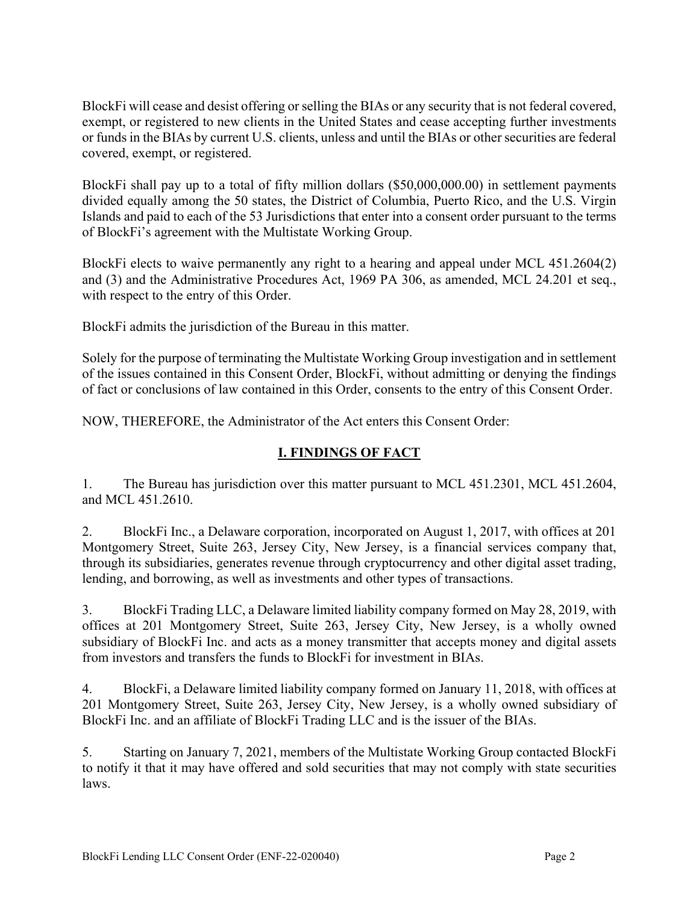BlockFi will cease and desist offering or selling the BIAs or any security that is not federal covered, exempt, or registered to new clients in the United States and cease accepting further investments or funds in the BIAs by current U.S. clients, unless and until the BIAs or other securities are federal covered, exempt, or registered.

BlockFi shall pay up to a total of fifty million dollars (\$50,000,000.00) in settlement payments divided equally among the 50 states, the District of Columbia, Puerto Rico, and the U.S. Virgin Islands and paid to each of the 53 Jurisdictions that enter into a consent order pursuant to the terms of BlockFi's agreement with the Multistate Working Group.

BlockFi elects to waive permanently any right to a hearing and appeal under MCL 451.2604(2) and (3) and the Administrative Procedures Act, 1969 PA 306, as amended, MCL 24.201 et seq., with respect to the entry of this Order.

BlockFi admits the jurisdiction of the Bureau in this matter.

Solely for the purpose of terminating the Multistate Working Group investigation and in settlement of the issues contained in this Consent Order, BlockFi, without admitting or denying the findings of fact or conclusions of law contained in this Order, consents to the entry of this Consent Order.

NOW, THEREFORE, the Administrator of the Act enters this Consent Order:

# **I. FINDINGS OF FACT**

1. The Bureau has jurisdiction over this matter pursuant to MCL 451.2301, MCL 451.2604, and MCL 451.2610.

2. BlockFi Inc., a Delaware corporation, incorporated on August 1, 2017, with offices at 201 Montgomery Street, Suite 263, Jersey City, New Jersey, is a financial services company that, through its subsidiaries, generates revenue through cryptocurrency and other digital asset trading, lending, and borrowing, as well as investments and other types of transactions.

3. BlockFi Trading LLC, a Delaware limited liability company formed on May 28, 2019, with offices at 201 Montgomery Street, Suite 263, Jersey City, New Jersey, is a wholly owned subsidiary of BlockFi Inc. and acts as a money transmitter that accepts money and digital assets from investors and transfers the funds to BlockFi for investment in BIAs.

4. BlockFi, a Delaware limited liability company formed on January 11, 2018, with offices at 201 Montgomery Street, Suite 263, Jersey City, New Jersey, is a wholly owned subsidiary of BlockFi Inc. and an affiliate of BlockFi Trading LLC and is the issuer of the BIAs.

5. Starting on January 7, 2021, members of the Multistate Working Group contacted BlockFi to notify it that it may have offered and sold securities that may not comply with state securities laws.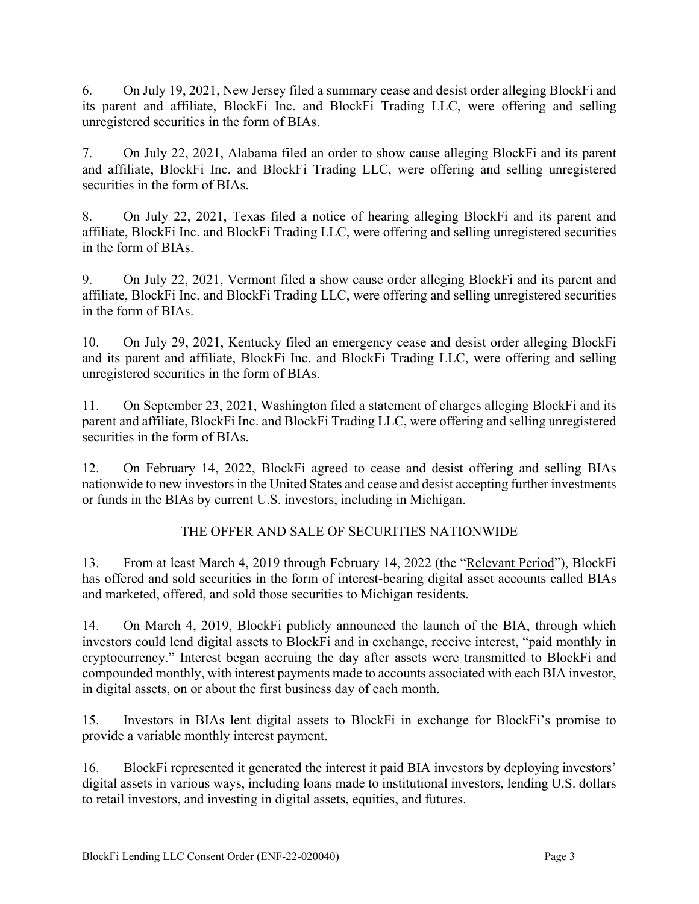6. On July 19, 2021, New Jersey filed a summary cease and desist order alleging BlockFi and its parent and affiliate, BlockFi Inc. and BlockFi Trading LLC, were offering and selling unregistered securities in the form of BIAs.

7. On July 22, 2021, Alabama filed an order to show cause alleging BlockFi and its parent and affiliate, BlockFi Inc. and BlockFi Trading LLC, were offering and selling unregistered securities in the form of BIAs.

8. On July 22, 2021, Texas filed a notice of hearing alleging BlockFi and its parent and affiliate, BlockFi Inc. and BlockFi Trading LLC, were offering and selling unregistered securities in the form of BIAs.

9. On July 22, 2021, Vermont filed a show cause order alleging BlockFi and its parent and affiliate, BlockFi Inc. and BlockFi Trading LLC, were offering and selling unregistered securities in the form of BIAs.

10. On July 29, 2021, Kentucky filed an emergency cease and desist order alleging BlockFi and its parent and affiliate, BlockFi Inc. and BlockFi Trading LLC, were offering and selling unregistered securities in the form of BIAs.

11. On September 23, 2021, Washington filed a statement of charges alleging BlockFi and its parent and affiliate, BlockFi Inc. and BlockFi Trading LLC, were offering and selling unregistered securities in the form of BIAs.

12. On February 14, 2022, BlockFi agreed to cease and desist offering and selling BIAs nationwide to new investors in the United States and cease and desist accepting further investments or funds in the BIAs by current U.S. investors, including in Michigan.

# THE OFFER AND SALE OF SECURITIES NATIONWIDE

13. From at least March 4, 2019 through February 14, 2022 (the "Relevant Period"), BlockFi has offered and sold securities in the form of interest-bearing digital asset accounts called BIAs and marketed, offered, and sold those securities to Michigan residents.

14. On March 4, 2019, BlockFi publicly announced the launch of the BIA, through which investors could lend digital assets to BlockFi and in exchange, receive interest, "paid monthly in cryptocurrency." Interest began accruing the day after assets were transmitted to BlockFi and compounded monthly, with interest payments made to accounts associated with each BIA investor, in digital assets, on or about the first business day of each month.

15. Investors in BIAs lent digital assets to BlockFi in exchange for BlockFi's promise to provide a variable monthly interest payment.

16. BlockFi represented it generated the interest it paid BIA investors by deploying investors' digital assets in various ways, including loans made to institutional investors, lending U.S. dollars to retail investors, and investing in digital assets, equities, and futures.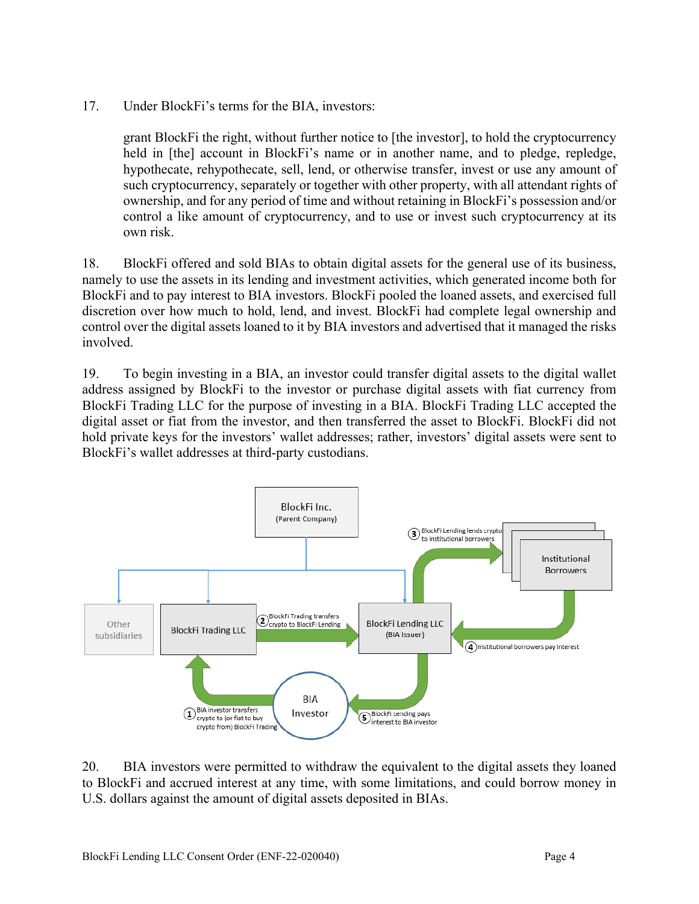17. Under BlockFi's terms for the BIA, investors:

grant BlockFi the right, without further notice to [the investor], to hold the cryptocurrency held in [the] account in BlockFi's name or in another name, and to pledge, repledge, hypothecate, rehypothecate, sell, lend, or otherwise transfer, invest or use any amount of such cryptocurrency, separately or together with other property, with all attendant rights of ownership, and for any period of time and without retaining in BlockFi's possession and/or control a like amount of cryptocurrency, and to use or invest such cryptocurrency at its own risk.

18. BlockFi offered and sold BIAs to obtain digital assets for the general use of its business, namely to use the assets in its lending and investment activities, which generated income both for BlockFi and to pay interest to BIA investors. BlockFi pooled the loaned assets, and exercised full discretion over how much to hold, lend, and invest. BlockFi had complete legal ownership and control over the digital assets loaned to it by BIA investors and advertised that it managed the risks involved.

19. To begin investing in a BIA, an investor could transfer digital assets to the digital wallet address assigned by BlockFi to the investor or purchase digital assets with fiat currency from BlockFi Trading LLC for the purpose of investing in a BIA. BlockFi Trading LLC accepted the digital asset or fiat from the investor, and then transferred the asset to BlockFi. BlockFi did not hold private keys for the investors' wallet addresses; rather, investors' digital assets were sent to BlockFi's wallet addresses at third-party custodians.



20. BIA investors were permitted to withdraw the equivalent to the digital assets they loaned to BlockFi and accrued interest at any time, with some limitations, and could borrow money in U.S. dollars against the amount of digital assets deposited in BIAs.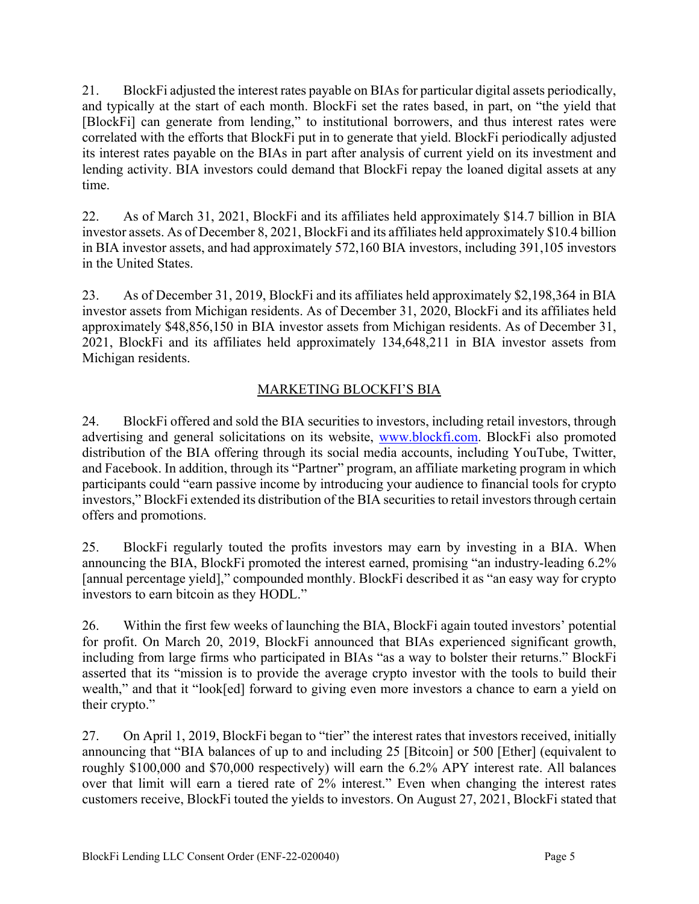21. BlockFi adjusted the interest rates payable on BIAs for particular digital assets periodically, and typically at the start of each month. BlockFi set the rates based, in part, on "the yield that [BlockFi] can generate from lending," to institutional borrowers, and thus interest rates were correlated with the efforts that BlockFi put in to generate that yield. BlockFi periodically adjusted its interest rates payable on the BIAs in part after analysis of current yield on its investment and lending activity. BIA investors could demand that BlockFi repay the loaned digital assets at any time.

22. As of March 31, 2021, BlockFi and its affiliates held approximately \$14.7 billion in BIA investor assets. As of December 8, 2021, BlockFi and its affiliates held approximately \$10.4 billion in BIA investor assets, and had approximately 572,160 BIA investors, including 391,105 investors in the United States.

23. As of December 31, 2019, BlockFi and its affiliates held approximately \$2,198,364 in BIA investor assets from Michigan residents. As of December 31, 2020, BlockFi and its affiliates held approximately \$48,856,150 in BIA investor assets from Michigan residents. As of December 31, 2021, BlockFi and its affiliates held approximately 134,648,211 in BIA investor assets from Michigan residents.

# MARKETING BLOCKFI'S BIA

24. BlockFi offered and sold the BIA securities to investors, including retail investors, through advertising and general solicitations on its website, www.blockfi.com. BlockFi also promoted distribution of the BIA offering through its social media accounts, including YouTube, Twitter, and Facebook. In addition, through its "Partner" program, an affiliate marketing program in which participants could "earn passive income by introducing your audience to financial tools for crypto investors," BlockFi extended its distribution of the BIA securities to retail investors through certain offers and promotions.

25. BlockFi regularly touted the profits investors may earn by investing in a BIA. When announcing the BIA, BlockFi promoted the interest earned, promising "an industry-leading 6.2% [annual percentage yield]," compounded monthly. BlockFi described it as "an easy way for crypto investors to earn bitcoin as they HODL."

26. Within the first few weeks of launching the BIA, BlockFi again touted investors' potential for profit. On March 20, 2019, BlockFi announced that BIAs experienced significant growth, including from large firms who participated in BIAs "as a way to bolster their returns." BlockFi asserted that its "mission is to provide the average crypto investor with the tools to build their wealth," and that it "look[ed] forward to giving even more investors a chance to earn a yield on their crypto."

27. On April 1, 2019, BlockFi began to "tier" the interest rates that investors received, initially announcing that "BIA balances of up to and including 25 [Bitcoin] or 500 [Ether] (equivalent to roughly \$100,000 and \$70,000 respectively) will earn the 6.2% APY interest rate. All balances over that limit will earn a tiered rate of 2% interest." Even when changing the interest rates customers receive, BlockFi touted the yields to investors. On August 27, 2021, BlockFi stated that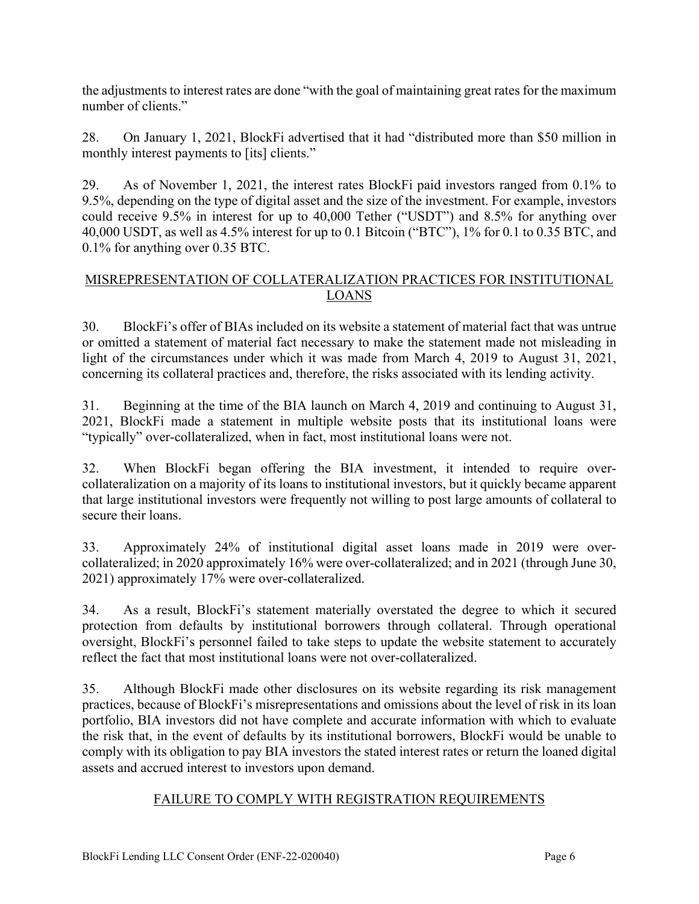the adjustments to interest rates are done "with the goal of maintaining great rates for the maximum number of clients."

28. On January 1, 2021, BlockFi advertised that it had "distributed more than \$50 million in monthly interest payments to [its] clients."

29. As of November 1, 2021, the interest rates BlockFi paid investors ranged from 0.1% to 9.5%, depending on the type of digital asset and the size of the investment. For example, investors could receive 9.5% in interest for up to 40,000 Tether ("USDT") and 8.5% for anything over 40,000 USDT, as well as 4.5% interest for up to 0.1 Bitcoin ("BTC"), 1% for 0.1 to 0.35 BTC, and 0.1% for anything over 0.35 BTC.

### MISREPRESENTATION OF COLLATERALIZATION PRACTICES FOR INSTITUTIONAL LOANS

30. BlockFi's offer of BIAs included on its website a statement of material fact that was untrue or omitted a statement of material fact necessary to make the statement made not misleading in light of the circumstances under which it was made from March 4, 2019 to August 31, 2021, concerning its collateral practices and, therefore, the risks associated with its lending activity.

31. Beginning at the time of the BIA launch on March 4, 2019 and continuing to August 31, 2021, BlockFi made a statement in multiple website posts that its institutional loans were "typically" over-collateralized, when in fact, most institutional loans were not.

32. When BlockFi began offering the BIA investment, it intended to require overcollateralization on a majority of its loans to institutional investors, but it quickly became apparent that large institutional investors were frequently not willing to post large amounts of collateral to secure their loans.

33. Approximately 24% of institutional digital asset loans made in 2019 were overcollateralized; in 2020 approximately 16% were over-collateralized; and in 2021 (through June 30, 2021) approximately 17% were over-collateralized.

34. As a result, BlockFi's statement materially overstated the degree to which it secured protection from defaults by institutional borrowers through collateral. Through operational oversight, BlockFi's personnel failed to take steps to update the website statement to accurately reflect the fact that most institutional loans were not over-collateralized.

35. Although BlockFi made other disclosures on its website regarding its risk management practices, because of BlockFi's misrepresentations and omissions about the level of risk in its loan portfolio, BIA investors did not have complete and accurate information with which to evaluate the risk that, in the event of defaults by its institutional borrowers, BlockFi would be unable to comply with its obligation to pay BIA investors the stated interest rates or return the loaned digital assets and accrued interest to investors upon demand.

## FAILURE TO COMPLY WITH REGISTRATION REQUIREMENTS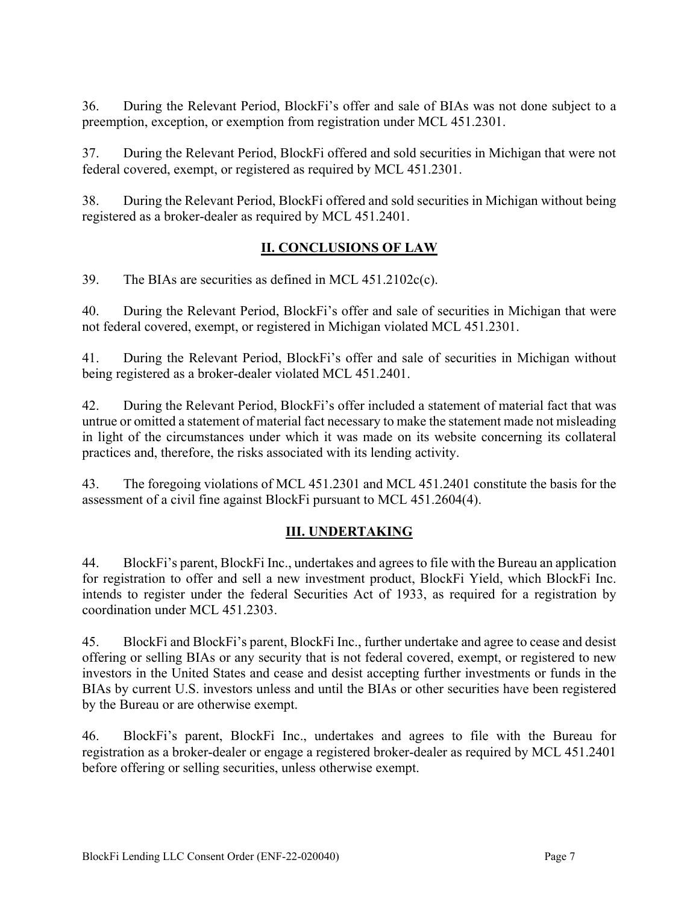36. During the Relevant Period, BlockFi's offer and sale of BIAs was not done subject to a preemption, exception, or exemption from registration under MCL 451.2301.

37. During the Relevant Period, BlockFi offered and sold securities in Michigan that were not federal covered, exempt, or registered as required by MCL 451.2301.

38. During the Relevant Period, BlockFi offered and sold securities in Michigan without being registered as a broker-dealer as required by MCL 451.2401.

## **II. CONCLUSIONS OF LAW**

39. The BIAs are securities as defined in MCL 451.2102c(c).

40. During the Relevant Period, BlockFi's offer and sale of securities in Michigan that were not federal covered, exempt, or registered in Michigan violated MCL 451.2301.

41. During the Relevant Period, BlockFi's offer and sale of securities in Michigan without being registered as a broker-dealer violated MCL 451.2401.

42. During the Relevant Period, BlockFi's offer included a statement of material fact that was untrue or omitted a statement of material fact necessary to make the statement made not misleading in light of the circumstances under which it was made on its website concerning its collateral practices and, therefore, the risks associated with its lending activity.

43. The foregoing violations of MCL 451.2301 and MCL 451.2401 constitute the basis for the assessment of a civil fine against BlockFi pursuant to MCL 451.2604(4).

# **III. UNDERTAKING**

44. BlockFi's parent, BlockFi Inc., undertakes and agrees to file with the Bureau an application for registration to offer and sell a new investment product, BlockFi Yield, which BlockFi Inc. intends to register under the federal Securities Act of 1933, as required for a registration by coordination under MCL 451.2303.

45. BlockFi and BlockFi's parent, BlockFi Inc., further undertake and agree to cease and desist offering or selling BIAs or any security that is not federal covered, exempt, or registered to new investors in the United States and cease and desist accepting further investments or funds in the BIAs by current U.S. investors unless and until the BIAs or other securities have been registered by the Bureau or are otherwise exempt.

46. BlockFi's parent, BlockFi Inc., undertakes and agrees to file with the Bureau for registration as a broker-dealer or engage a registered broker-dealer as required by MCL 451.2401 before offering or selling securities, unless otherwise exempt.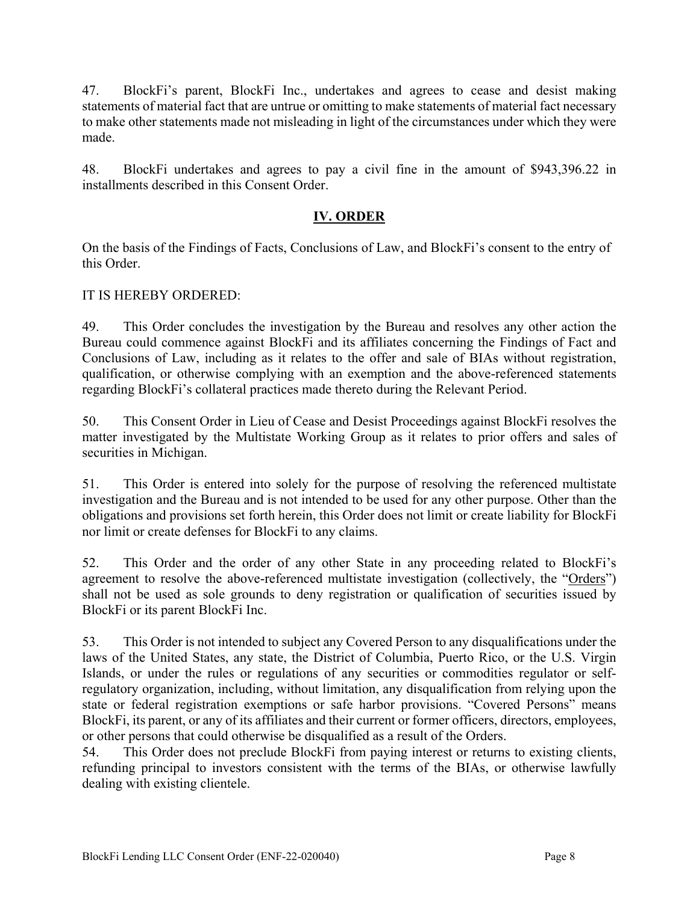47. BlockFi's parent, BlockFi Inc., undertakes and agrees to cease and desist making statements of material fact that are untrue or omitting to make statements of material fact necessary to make other statements made not misleading in light of the circumstances under which they were made.

48. BlockFi undertakes and agrees to pay a civil fine in the amount of \$943,396.22 in installments described in this Consent Order.

## **IV. ORDER**

On the basis of the Findings of Facts, Conclusions of Law, and BlockFi's consent to the entry of this Order.

## IT IS HEREBY ORDERED:

49. This Order concludes the investigation by the Bureau and resolves any other action the Bureau could commence against BlockFi and its affiliates concerning the Findings of Fact and Conclusions of Law, including as it relates to the offer and sale of BIAs without registration, qualification, or otherwise complying with an exemption and the above-referenced statements regarding BlockFi's collateral practices made thereto during the Relevant Period.

50. This Consent Order in Lieu of Cease and Desist Proceedings against BlockFi resolves the matter investigated by the Multistate Working Group as it relates to prior offers and sales of securities in Michigan.

51. This Order is entered into solely for the purpose of resolving the referenced multistate investigation and the Bureau and is not intended to be used for any other purpose. Other than the obligations and provisions set forth herein, this Order does not limit or create liability for BlockFi nor limit or create defenses for BlockFi to any claims.

52. This Order and the order of any other State in any proceeding related to BlockFi's agreement to resolve the above-referenced multistate investigation (collectively, the "Orders") shall not be used as sole grounds to deny registration or qualification of securities issued by BlockFi or its parent BlockFi Inc.

53. This Order is not intended to subject any Covered Person to any disqualifications under the laws of the United States, any state, the District of Columbia, Puerto Rico, or the U.S. Virgin Islands, or under the rules or regulations of any securities or commodities regulator or selfregulatory organization, including, without limitation, any disqualification from relying upon the state or federal registration exemptions or safe harbor provisions. "Covered Persons" means BlockFi, its parent, or any of its affiliates and their current or former officers, directors, employees, or other persons that could otherwise be disqualified as a result of the Orders.

54. This Order does not preclude BlockFi from paying interest or returns to existing clients, refunding principal to investors consistent with the terms of the BIAs, or otherwise lawfully dealing with existing clientele.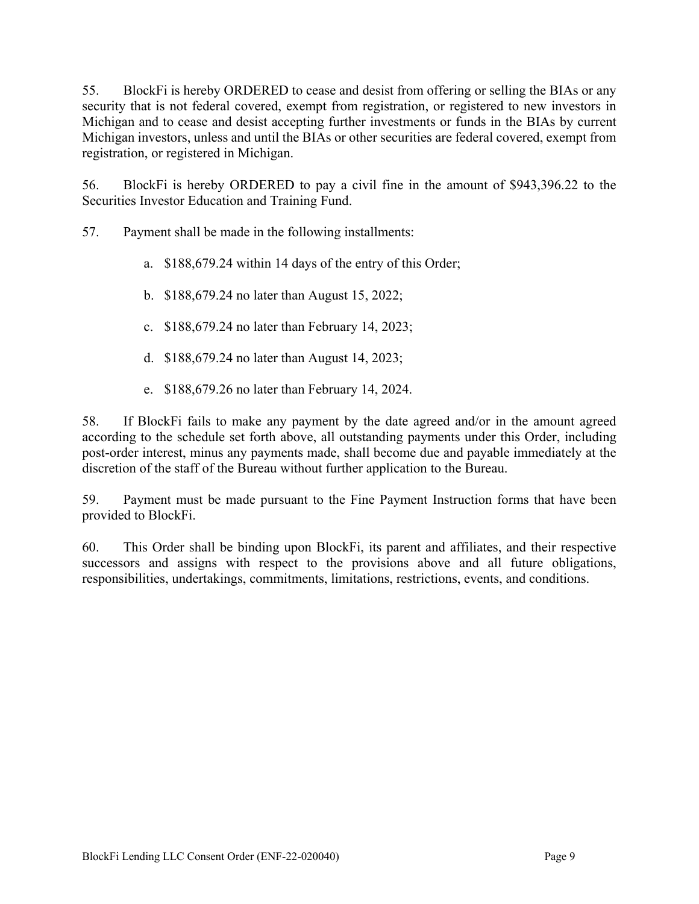55. BlockFi is hereby ORDERED to cease and desist from offering or selling the BIAs or any security that is not federal covered, exempt from registration, or registered to new investors in Michigan and to cease and desist accepting further investments or funds in the BIAs by current Michigan investors, unless and until the BIAs or other securities are federal covered, exempt from registration, or registered in Michigan.

56. BlockFi is hereby ORDERED to pay a civil fine in the amount of \$943,396.22 to the Securities Investor Education and Training Fund.

57. Payment shall be made in the following installments:

- a. \$188,679.24 within 14 days of the entry of this Order;
- b. \$188,679.24 no later than August 15, 2022;
- c. \$188,679.24 no later than February 14, 2023;
- d. \$188,679.24 no later than August 14, 2023;
- e. \$188,679.26 no later than February 14, 2024.

58. If BlockFi fails to make any payment by the date agreed and/or in the amount agreed according to the schedule set forth above, all outstanding payments under this Order, including post-order interest, minus any payments made, shall become due and payable immediately at the discretion of the staff of the Bureau without further application to the Bureau.

59. Payment must be made pursuant to the Fine Payment Instruction forms that have been provided to BlockFi.

60. This Order shall be binding upon BlockFi, its parent and affiliates, and their respective successors and assigns with respect to the provisions above and all future obligations, responsibilities, undertakings, commitments, limitations, restrictions, events, and conditions.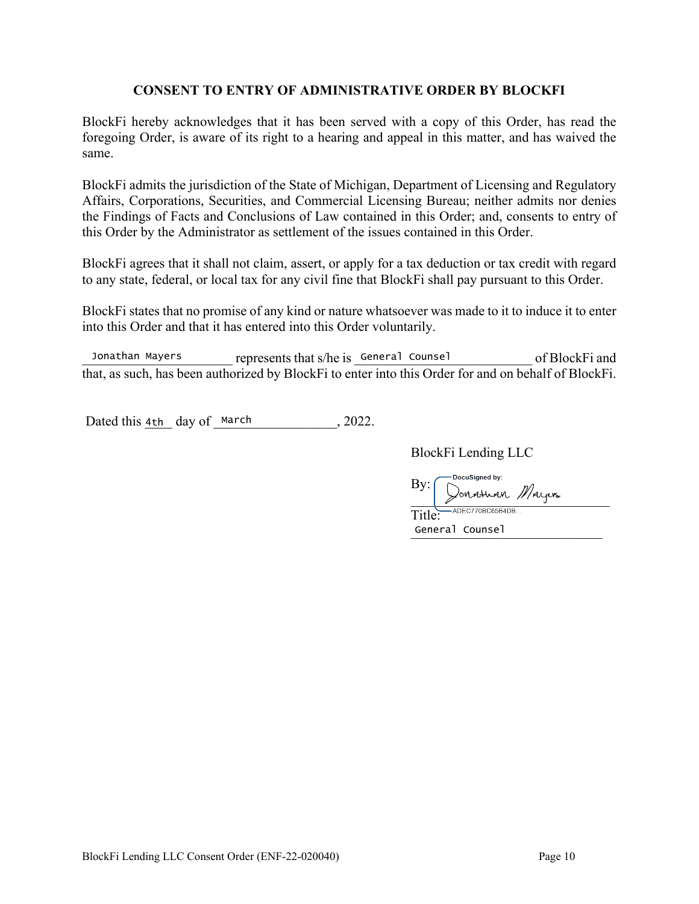### **CONSENT TO ENTRY OF ADMINISTRATIVE ORDER BY BLOCKFI**

BlockFi hereby acknowledges that it has been served with a copy of this Order, has read the foregoing Order, is aware of its right to a hearing and appeal in this matter, and has waived the same.

BlockFi admits the jurisdiction of the State of Michigan, Department of Licensing and Regulatory Affairs, Corporations, Securities, and Commercial Licensing Bureau; neither admits nor denies the Findings of Facts and Conclusions of Law contained in this Order; and, consents to entry of this Order by the Administrator as settlement of the issues contained in this Order.

BlockFi agrees that it shall not claim, assert, or apply for a tax deduction or tax credit with regard to any state, federal, or local tax for any civil fine that BlockFi shall pay pursuant to this Order.

BlockFi states that no promise of any kind or nature whatsoever was made to it to induce it to enter into this Order and that it has entered into this Order voluntarily.

Jonathan Mayers epresents that s/he is General Counsel of BlockFi and that, as such, has been authorized by BlockFi to enter into this Order for and on behalf of BlockFi.

Dated this  $4th$  day of March , 2022.

BlockFi Lending LLC

**DocuSigned by:**  $\frac{Dy.}{T,(1)e^{C-ADEC770BC65B4DB...}}$ By:  $\rightarrow$  or roughly

Title: \_\_\_\_\_\_\_\_\_\_\_\_\_\_\_\_\_\_\_\_\_\_\_\_\_\_\_\_ General Counsel

BlockFi Lending LLC Consent Order (ENF-22-020040) Page 10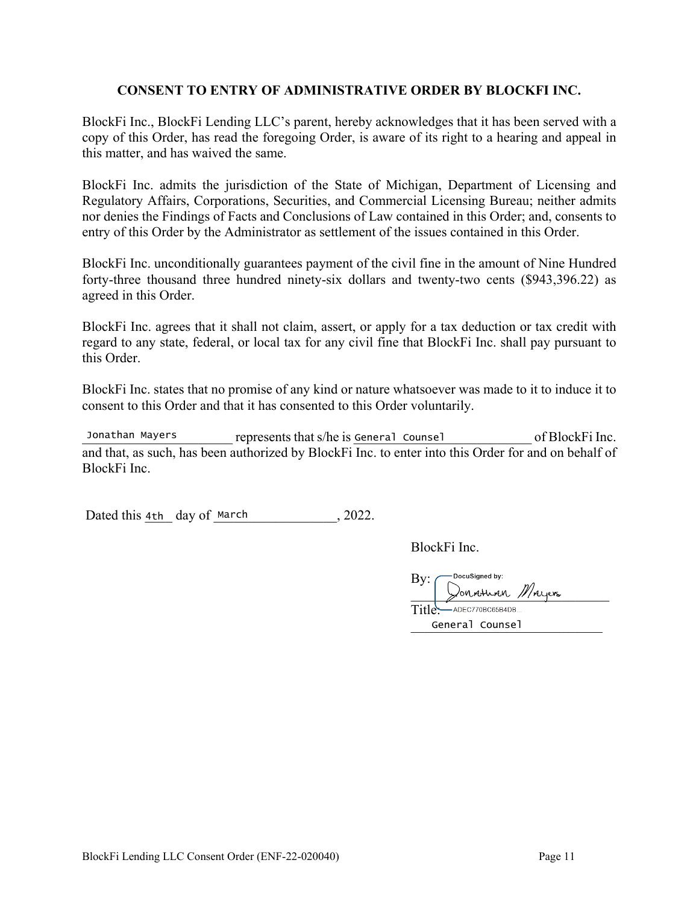### **CONSENT TO ENTRY OF ADMINISTRATIVE ORDER BY BLOCKFI INC.**

BlockFi Inc., BlockFi Lending LLC's parent, hereby acknowledges that it has been served with a copy of this Order, has read the foregoing Order, is aware of its right to a hearing and appeal in this matter, and has waived the same.

BlockFi Inc. admits the jurisdiction of the State of Michigan, Department of Licensing and Regulatory Affairs, Corporations, Securities, and Commercial Licensing Bureau; neither admits nor denies the Findings of Facts and Conclusions of Law contained in this Order; and, consents to entry of this Order by the Administrator as settlement of the issues contained in this Order.

BlockFi Inc. unconditionally guarantees payment of the civil fine in the amount of Nine Hundred forty-three thousand three hundred ninety-six dollars and twenty-two cents (\$943,396.22) as agreed in this Order.

BlockFi Inc. agrees that it shall not claim, assert, or apply for a tax deduction or tax credit with regard to any state, federal, or local tax for any civil fine that BlockFi Inc. shall pay pursuant to this Order.

BlockFi Inc. states that no promise of any kind or nature whatsoever was made to it to induce it to consent to this Order and that it has consented to this Order voluntarily.

Jonathan Mayers represents that s/he is General Counsel of BlockFi Inc. and that, as such, has been authorized by BlockFi Inc. to enter into this Order for and on behalf of BlockFi Inc. Jonathan Mayers

Dated this  $4th$  day of March , 2022.

BlockFi Inc.

DocuSianed by:  $\overline{\phantom{a}}$ --<br>—— ADEC770BC65B4DB... By: \_\_\_\_\_\_\_\_\_\_\_\_\_\_\_\_\_\_\_\_\_\_\_\_\_\_\_\_\_ Title: \_\_\_\_\_\_\_\_\_\_\_\_\_\_\_\_\_\_\_\_\_\_\_\_\_\_\_\_ General Counsel